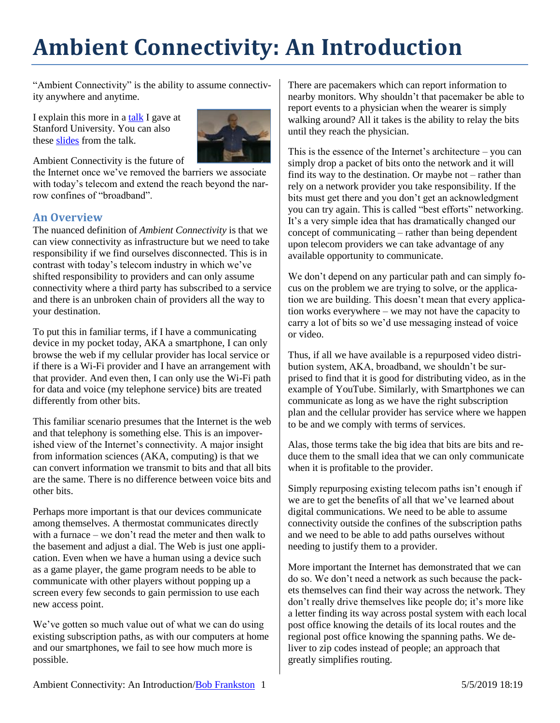## **Ambient Connectivity: An Introduction**

"Ambient Connectivity" is the ability to assume connectivity anywhere and anytime.

I explain this more in a [talk](http://ee380.stanford.edu/cgi-bin/videologger.php?target=090923-ee380-300.asx) I gave at Stanford University. You can also these [slides](https://1drv.ms/p/s!AglBpbKyzKIQjZUst5qvTx51KfQCSQ) from the talk.



Ambient Connectivity is the future of

the Internet once we've removed the barriers we associate with today's telecom and extend the reach beyond the narrow confines of "broadband".

## **An Overview**

The nuanced definition of *Ambient Connectivity* is that we can view connectivity as infrastructure but we need to take responsibility if we find ourselves disconnected. This is in contrast with today's telecom industry in which we've shifted responsibility to providers and can only assume connectivity where a third party has subscribed to a service and there is an unbroken chain of providers all the way to your destination.

To put this in familiar terms, if I have a communicating device in my pocket today, AKA a smartphone, I can only browse the web if my cellular provider has local service or if there is a Wi-Fi provider and I have an arrangement with that provider. And even then, I can only use the Wi-Fi path for data and voice (my telephone service) bits are treated differently from other bits.

This familiar scenario presumes that the Internet is the web and that telephony is something else. This is an impoverished view of the Internet's connectivity. A major insight from information sciences (AKA, computing) is that we can convert information we transmit to bits and that all bits are the same. There is no difference between voice bits and other bits.

Perhaps more important is that our devices communicate among themselves. A thermostat communicates directly with a furnace – we don't read the meter and then walk to the basement and adjust a dial. The Web is just one application. Even when we have a human using a device such as a game player, the game program needs to be able to communicate with other players without popping up a screen every few seconds to gain permission to use each new access point.

We've gotten so much value out of what we can do using existing subscription paths, as with our computers at home and our smartphones, we fail to see how much more is possible.

There are pacemakers which can report information to nearby monitors. Why shouldn't that pacemaker be able to report events to a physician when the wearer is simply walking around? All it takes is the ability to relay the bits until they reach the physician.

This is the essence of the Internet's architecture – you can simply drop a packet of bits onto the network and it will find its way to the destination. Or maybe not – rather than rely on a network provider you take responsibility. If the bits must get there and you don't get an acknowledgment you can try again. This is called "best efforts" networking. It's a very simple idea that has dramatically changed our concept of communicating – rather than being dependent upon telecom providers we can take advantage of any available opportunity to communicate.

We don't depend on any particular path and can simply focus on the problem we are trying to solve, or the application we are building. This doesn't mean that every application works everywhere – we may not have the capacity to carry a lot of bits so we'd use messaging instead of voice or video.

Thus, if all we have available is a repurposed video distribution system, AKA, broadband, we shouldn't be surprised to find that it is good for distributing video, as in the example of YouTube. Similarly, with Smartphones we can communicate as long as we have the right subscription plan and the cellular provider has service where we happen to be and we comply with terms of services.

Alas, those terms take the big idea that bits are bits and reduce them to the small idea that we can only communicate when it is profitable to the provider.

Simply repurposing existing telecom paths isn't enough if we are to get the benefits of all that we've learned about digital communications. We need to be able to assume connectivity outside the confines of the subscription paths and we need to be able to add paths ourselves without needing to justify them to a provider.

More important the Internet has demonstrated that we can do so. We don't need a network as such because the packets themselves can find their way across the network. They don't really drive themselves like people do; it's more like a letter finding its way across postal system with each local post office knowing the details of its local routes and the regional post office knowing the spanning paths. We deliver to zip codes instead of people; an approach that greatly simplifies routing.